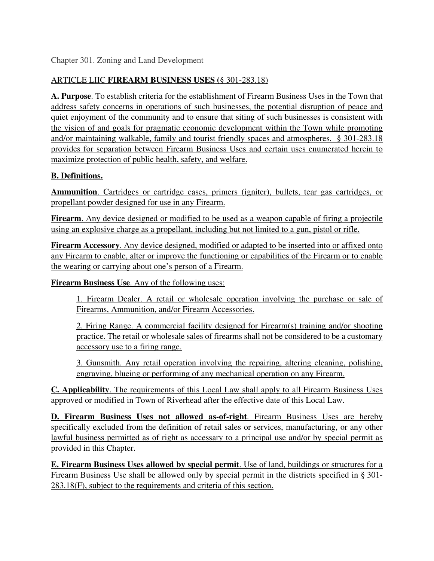# ARTICLE LIIC **FIREARM BUSINESS USES (**§ 301-283.18)

**A. Purpose**. To establish criteria for the establishment of Firearm Business Uses in the Town that address safety concerns in operations of such businesses, the potential disruption of peace and quiet enjoyment of the community and to ensure that siting of such businesses is consistent with the vision of and goals for pragmatic economic development within the Town while promoting and/or maintaining walkable, family and tourist friendly spaces and atmospheres. § 301-283.18 provides for separation between Firearm Business Uses and certain uses enumerated herein to maximize protection of public health, safety, and welfare.

# **B. Definitions.**

**Ammunition**. Cartridges or cartridge cases, primers (igniter), bullets, tear gas cartridges, or propellant powder designed for use in any Firearm.

**Firearm**. Any device designed or modified to be used as a weapon capable of firing a projectile using an explosive charge as a propellant, including but not limited to a gun, pistol or rifle.

**Firearm Accessory**. Any device designed, modified or adapted to be inserted into or affixed onto any Firearm to enable, alter or improve the functioning or capabilities of the Firearm or to enable the wearing or carrying about one's person of a Firearm.

**Firearm Business Use**. Any of the following uses:

1. Firearm Dealer. A retail or wholesale operation involving the purchase or sale of Firearms, Ammunition, and/or Firearm Accessories.

2. Firing Range. A commercial facility designed for Firearm(s) training and/or shooting practice. The retail or wholesale sales of firearms shall not be considered to be a customary accessory use to a firing range.

3. Gunsmith. Any retail operation involving the repairing, altering cleaning, polishing, engraving, blueing or performing of any mechanical operation on any Firearm.

**C. Applicability**. The requirements of this Local Law shall apply to all Firearm Business Uses approved or modified in Town of Riverhead after the effective date of this Local Law.

**D. Firearm Business Uses not allowed as-of-right**. Firearm Business Uses are hereby specifically excluded from the definition of retail sales or services, manufacturing, or any other lawful business permitted as of right as accessary to a principal use and/or by special permit as provided in this Chapter.

**E. Firearm Business Uses allowed by special permit**. Use of land, buildings or structures for a Firearm Business Use shall be allowed only by special permit in the districts specified in § 301- 283.18(F), subject to the requirements and criteria of this section.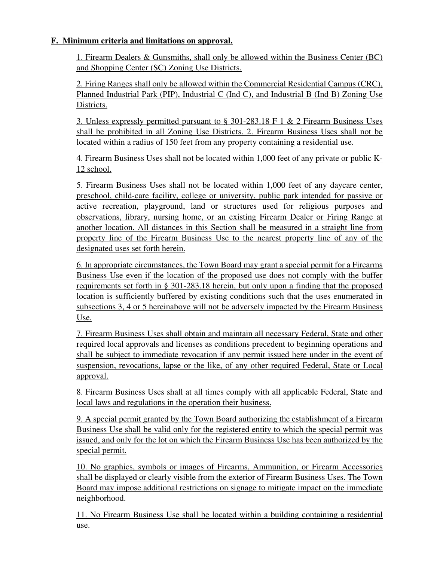## **F. Minimum criteria and limitations on approval.**

1. Firearm Dealers & Gunsmiths, shall only be allowed within the Business Center (BC) and Shopping Center (SC) Zoning Use Districts.

2. Firing Ranges shall only be allowed within the Commercial Residential Campus (CRC), Planned Industrial Park (PIP), Industrial C (Ind C), and Industrial B (Ind B) Zoning Use Districts.

3. Unless expressly permitted pursuant to § 301-283.18 F 1 & 2 Firearm Business Uses shall be prohibited in all Zoning Use Districts. 2. Firearm Business Uses shall not be located within a radius of 150 feet from any property containing a residential use.

4. Firearm Business Uses shall not be located within 1,000 feet of any private or public K-12 school.

5. Firearm Business Uses shall not be located within 1,000 feet of any daycare center, preschool, child-care facility, college or university, public park intended for passive or active recreation, playground, land or structures used for religious purposes and observations, library, nursing home, or an existing Firearm Dealer or Firing Range at another location. All distances in this Section shall be measured in a straight line from property line of the Firearm Business Use to the nearest property line of any of the designated uses set forth herein.

6. In appropriate circumstances, the Town Board may grant a special permit for a Firearms Business Use even if the location of the proposed use does not comply with the buffer requirements set forth in § 301-283.18 herein, but only upon a finding that the proposed location is sufficiently buffered by existing conditions such that the uses enumerated in subsections 3, 4 or 5 hereinabove will not be adversely impacted by the Firearm Business Use.

7. Firearm Business Uses shall obtain and maintain all necessary Federal, State and other required local approvals and licenses as conditions precedent to beginning operations and shall be subject to immediate revocation if any permit issued here under in the event of suspension, revocations, lapse or the like, of any other required Federal, State or Local approval.

8. Firearm Business Uses shall at all times comply with all applicable Federal, State and local laws and regulations in the operation their business.

9. A special permit granted by the Town Board authorizing the establishment of a Firearm Business Use shall be valid only for the registered entity to which the special permit was issued, and only for the lot on which the Firearm Business Use has been authorized by the special permit.

10. No graphics, symbols or images of Firearms, Ammunition, or Firearm Accessories shall be displayed or clearly visible from the exterior of Firearm Business Uses. The Town Board may impose additional restrictions on signage to mitigate impact on the immediate neighborhood.

11. No Firearm Business Use shall be located within a building containing a residential use.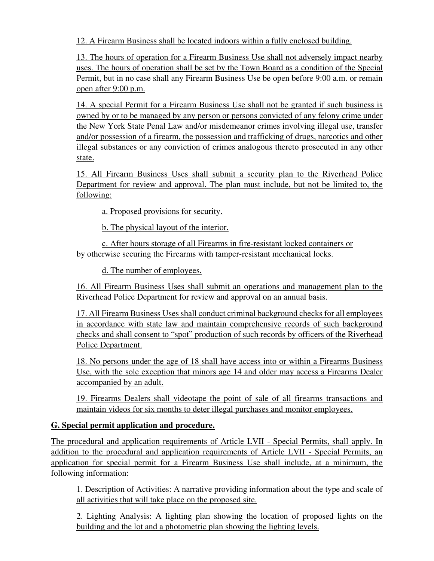12. A Firearm Business shall be located indoors within a fully enclosed building.

13. The hours of operation for a Firearm Business Use shall not adversely impact nearby uses. The hours of operation shall be set by the Town Board as a condition of the Special Permit, but in no case shall any Firearm Business Use be open before 9:00 a.m. or remain open after 9:00 p.m.

14. A special Permit for a Firearm Business Use shall not be granted if such business is owned by or to be managed by any person or persons convicted of any felony crime under the New York State Penal Law and/or misdemeanor crimes involving illegal use, transfer and/or possession of a firearm, the possession and trafficking of drugs, narcotics and other illegal substances or any conviction of crimes analogous thereto prosecuted in any other state.

15. All Firearm Business Uses shall submit a security plan to the Riverhead Police Department for review and approval. The plan must include, but not be limited to, the following:

a. Proposed provisions for security.

b. The physical layout of the interior.

c. After hours storage of all Firearms in fire-resistant locked containers or by otherwise securing the Firearms with tamper-resistant mechanical locks.

d. The number of employees.

16. All Firearm Business Uses shall submit an operations and management plan to the Riverhead Police Department for review and approval on an annual basis.

17. All Firearm Business Uses shall conduct criminal background checks for all employees in accordance with state law and maintain comprehensive records of such background checks and shall consent to "spot" production of such records by officers of the Riverhead Police Department.

18. No persons under the age of 18 shall have access into or within a Firearms Business Use, with the sole exception that minors age 14 and older may access a Firearms Dealer accompanied by an adult.

19. Firearms Dealers shall videotape the point of sale of all firearms transactions and maintain videos for six months to deter illegal purchases and monitor employees.

## **G. Special permit application and procedure.**

The procedural and application requirements of Article LVII - Special Permits, shall apply. In addition to the procedural and application requirements of Article LVII - Special Permits, an application for special permit for a Firearm Business Use shall include, at a minimum, the following information:

1. Description of Activities: A narrative providing information about the type and scale of all activities that will take place on the proposed site.

2. Lighting Analysis: A lighting plan showing the location of proposed lights on the building and the lot and a photometric plan showing the lighting levels.